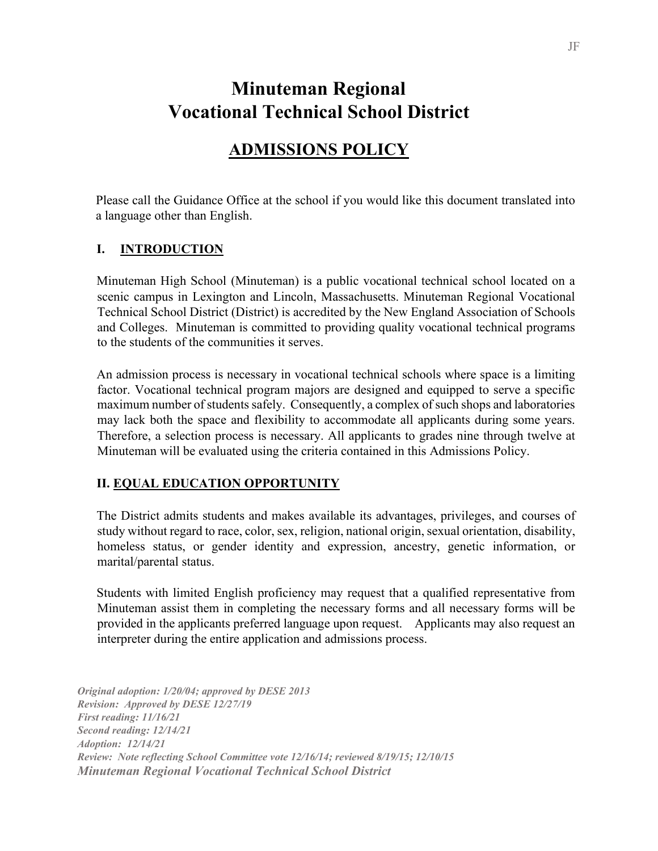# **Minuteman Regional Vocational Technical School District**

## **ADMISSIONS POLICY**

 Please call the Guidance Office at the school if you would like this document translated into a language other than English.

#### **I. INTRODUCTION**

Minuteman High School (Minuteman) is a public vocational technical school located on a scenic campus in Lexington and Lincoln, Massachusetts. Minuteman Regional Vocational Technical School District (District) is accredited by the New England Association of Schools and Colleges. Minuteman is committed to providing quality vocational technical programs to the students of the communities it serves.

An admission process is necessary in vocational technical schools where space is a limiting factor. Vocational technical program majors are designed and equipped to serve a specific maximum number of students safely. Consequently, a complex of such shops and laboratories may lack both the space and flexibility to accommodate all applicants during some years. Therefore, a selection process is necessary. All applicants to grades nine through twelve at Minuteman will be evaluated using the criteria contained in this Admissions Policy.

#### **II. EQUAL EDUCATION OPPORTUNITY**

The District admits students and makes available its advantages, privileges, and courses of study without regard to race, color, sex, religion, national origin, sexual orientation, disability, homeless status, or gender identity and expression, ancestry, genetic information, or marital/parental status.

Students with limited English proficiency may request that a qualified representative from Minuteman assist them in completing the necessary forms and all necessary forms will be provided in the applicants preferred language upon request. Applicants may also request an interpreter during the entire application and admissions process.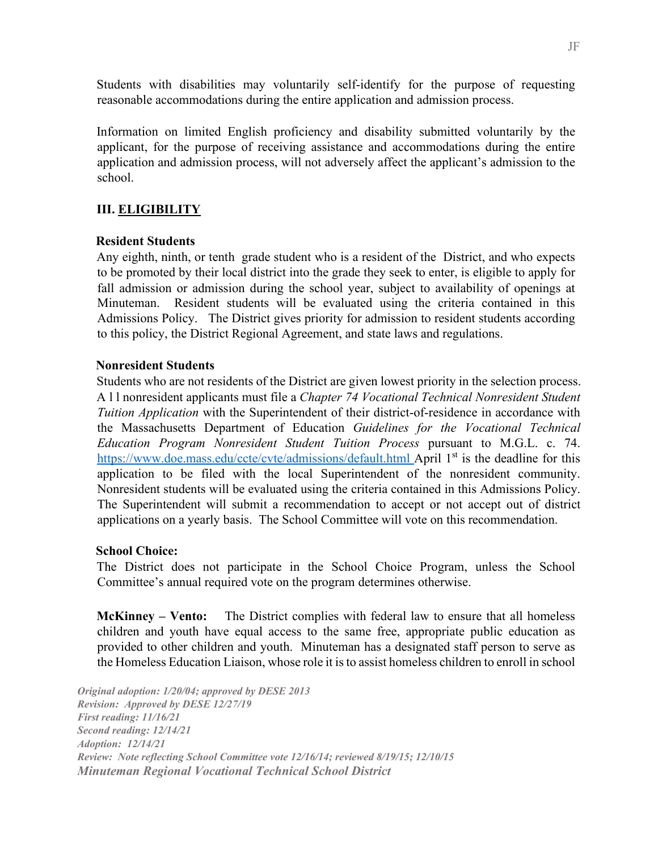Students with disabilities may voluntarily self-identify for the purpose of requesting reasonable accommodations during the entire application and admission process.

Information on limited English proficiency and disability submitted voluntarily by the applicant, for the purpose of receiving assistance and accommodations during the entire application and admission process, will not adversely affect the applicant's admission to the school.

### **III. ELIGIBILITY**

#### **Resident Students**

Any eighth, ninth, or tenth grade student who is a resident of the District, and who expects to be promoted by their local district into the grade they seek to enter, is eligible to apply for fall admission or admission during the school year, subject to availability of openings at Minuteman. Resident students will be evaluated using the criteria contained in this Admissions Policy. The District gives priority for admission to resident students according to this policy, the District Regional Agreement, and state laws and regulations.

#### **Nonresident Students**

Students who are not residents of the District are given lowest priority in the selection process. A l l nonresident applicants must file a *Chapter 74 Vocational Technical Nonresident Student Tuition Application* with the Superintendent of their district-of-residence in accordance with the Massachusetts Department of Education *Guidelines for the Vocational Technical Education Program Nonresident Student Tuition Process* pursuant to M.G.L. c. 74. <https://www.doe.mass.edu/ccte/cvte/admissions/default.html>[Ap](http://www.doe.mass.edu/cte/admissions)ril 1<sup>st</sup> is the deadline for this application to be filed with the local Superintendent of the nonresident community. Nonresident students will be evaluated using the criteria contained in this Admissions Policy. The Superintendent will submit a recommendation to accept or not accept out of district applications on a yearly basis. The School Committee will vote on this recommendation.

#### **School Choice:**

The District does not participate in the School Choice Program, unless the School Committee's annual required vote on the program determines otherwise.

**McKinney – Vento:** The District complies with federal law to ensure that all homeless children and youth have equal access to the same free, appropriate public education as provided to other children and youth. Minuteman has a designated staff person to serve as the Homeless Education Liaison, whose role it is to assist homeless children to enroll in school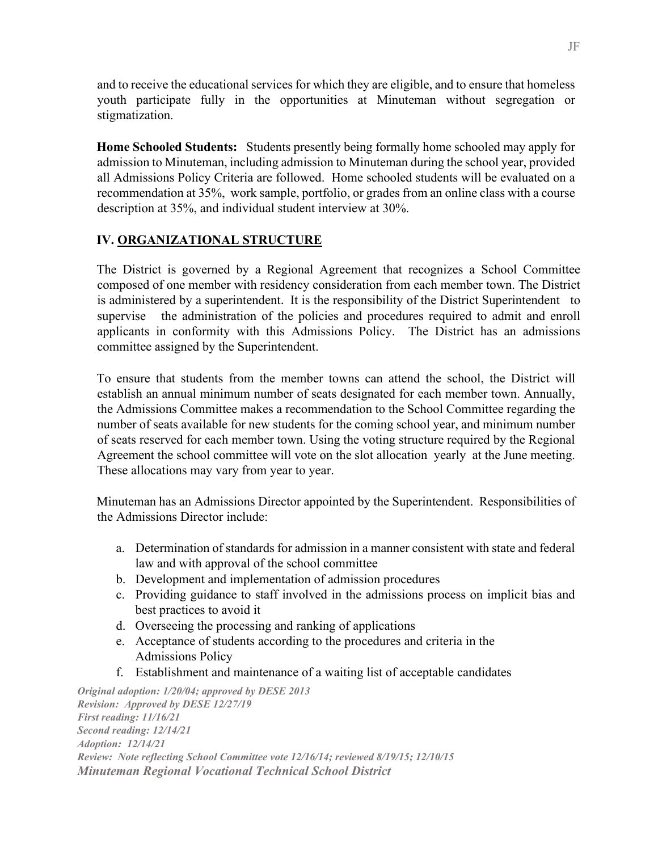and to receive the educational services for which they are eligible, and to ensure that homeless youth participate fully in the opportunities at Minuteman without segregation or stigmatization.

**Home Schooled Students:** Students presently being formally home schooled may apply for admission to Minuteman, including admission to Minuteman during the school year, provided all Admissions Policy Criteria are followed. Home schooled students will be evaluated on a recommendation at 35%, work sample, portfolio, or grades from an online class with a course description at 35%, and individual student interview at 30%.

## **IV. ORGANIZATIONAL STRUCTURE**

The District is governed by a Regional Agreement that recognizes a School Committee composed of one member with residency consideration from each member town. The District is administered by a superintendent. It is the responsibility of the District Superintendent to supervise the administration of the policies and procedures required to admit and enroll applicants in conformity with this Admissions Policy. The District has an admissions committee assigned by the Superintendent.

To ensure that students from the member towns can attend the school, the District will establish an annual minimum number of seats designated for each member town. Annually, the Admissions Committee makes a recommendation to the School Committee regarding the number of seats available for new students for the coming school year, and minimum number of seats reserved for each member town. Using the voting structure required by the Regional Agreement the school committee will vote on the slot allocation yearly at the June meeting. These allocations may vary from year to year.

Minuteman has an Admissions Director appointed by the Superintendent. Responsibilities of the Admissions Director include:

- a. Determination of standards for admission in a manner consistent with state and federal law and with approval of the school committee
- b. Development and implementation of admission procedures
- c. Providing guidance to staff involved in the admissions process on implicit bias and best practices to avoid it
- d. Overseeing the processing and ranking of applications
- e. Acceptance of students according to the procedures and criteria in the Admissions Policy
- f. Establishment and maintenance of a waiting list of acceptable candidates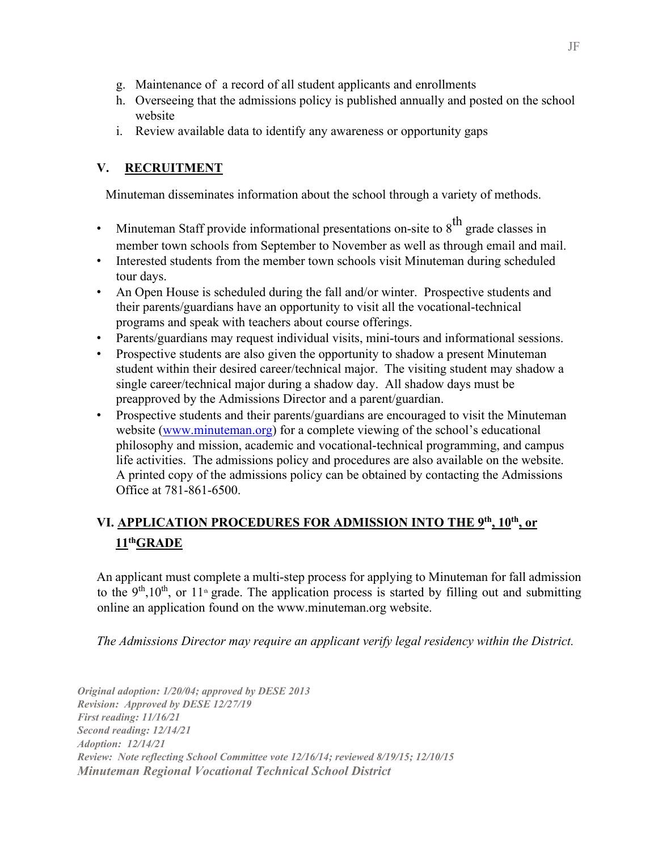- g. Maintenance of a record of all student applicants and enrollments
- h. Overseeing that the admissions policy is published annually and posted on the school website
- i. Review available data to identify any awareness or opportunity gaps

## **V. RECRUITMENT**

Minuteman disseminates information about the school through a variety of methods.

- Minuteman Staff provide informational presentations on-site to  $8<sup>th</sup>$  grade classes in member town schools from September to November as well as through email and mail.
- Interested students from the member town schools visit Minuteman during scheduled tour days.
- An Open House is scheduled during the fall and/or winter. Prospective students and their parents/guardians have an opportunity to visit all the vocational-technical programs and speak with teachers about course offerings.
- Parents/guardians may request individual visits, mini-tours and informational sessions.
- Prospective students are also given the opportunity to shadow a present Minuteman student within their desired career/technical major. The visiting student may shadow a single career/technical major during a shadow day. All shadow days must be preapproved by the Admissions Director and a parent/guardian.
- Prospective students and their parents/guardians are encouraged to visit the Minuteman website (www.minuteman.org) for a complete viewing of the school's educational philosophy and mission, academic and vocational-technical programming, and campus life activities. The admissions policy and procedures are also available on the website. A printed copy of the admissions policy can be obtained by contacting the Admissions Office at 781-861-6500.

## **VI. APPLICATION PROCEDURES FOR ADMISSION INTO THE 9th, 10th, or 11thGRADE**

An applicant must complete a multi-step process for applying to Minuteman for fall admission to the  $9<sup>th</sup>,10<sup>th</sup>$ , or 11<sup>th</sup> grade. The application process is started by filling out and submitting online an application found on the www.minuteman.org website.

*The Admissions Director may require an applicant verify legal residency within the District.*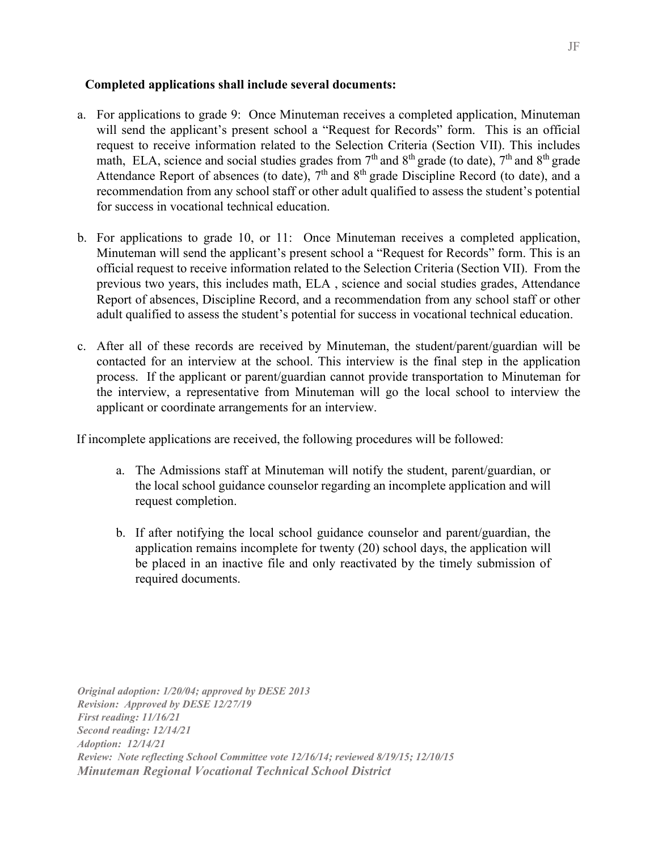#### **Completed applications shall include several documents:**

- a. For applications to grade 9: Once Minuteman receives a completed application, Minuteman will send the applicant's present school a "Request for Records" form. This is an official request to receive information related to the Selection Criteria (Section VII). This includes math, ELA, science and social studies grades from  $7<sup>th</sup>$  and  $8<sup>th</sup>$  grade (to date),  $7<sup>th</sup>$  and  $8<sup>th</sup>$  grade Attendance Report of absences (to date),  $7<sup>th</sup>$  and  $8<sup>th</sup>$  grade Discipline Record (to date), and a recommendation from any school staff or other adult qualified to assess the student's potential for success in vocational technical education.
- b. For applications to grade 10, or 11: Once Minuteman receives a completed application, Minuteman will send the applicant's present school a "Request for Records" form. This is an official request to receive information related to the Selection Criteria (Section VII). From the previous two years, this includes math, ELA , science and social studies grades, Attendance Report of absences, Discipline Record, and a recommendation from any school staff or other adult qualified to assess the student's potential for success in vocational technical education.
- c. After all of these records are received by Minuteman, the student/parent/guardian will be contacted for an interview at the school. This interview is the final step in the application process. If the applicant or parent/guardian cannot provide transportation to Minuteman for the interview, a representative from Minuteman will go the local school to interview the applicant or coordinate arrangements for an interview.

If incomplete applications are received, the following procedures will be followed:

- a. The Admissions staff at Minuteman will notify the student, parent/guardian, or the local school guidance counselor regarding an incomplete application and will request completion.
- b. If after notifying the local school guidance counselor and parent/guardian, the application remains incomplete for twenty (20) school days, the application will be placed in an inactive file and only reactivated by the timely submission of required documents.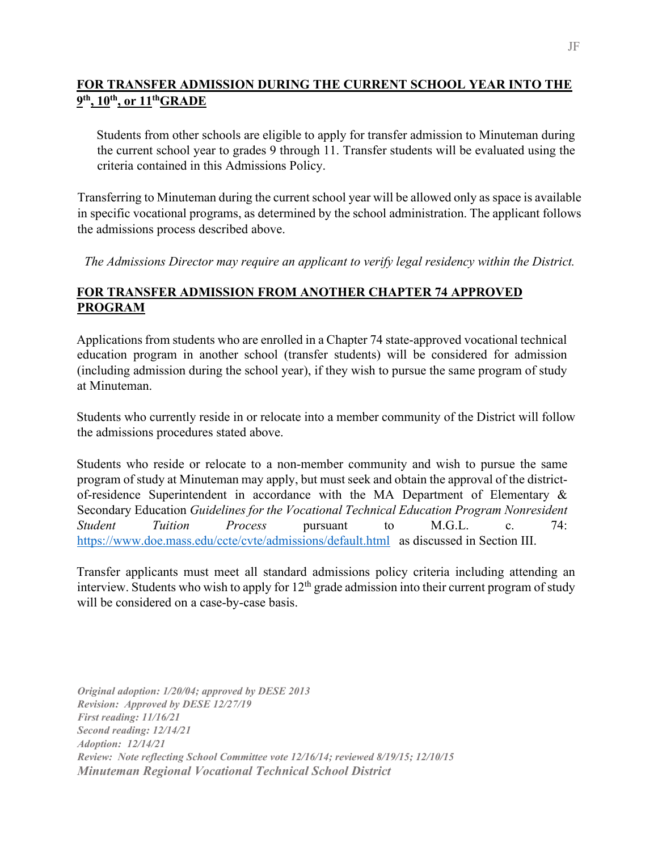## **FOR TRANSFER ADMISSION DURING THE CURRENT SCHOOL YEAR INTO THE 9th, 10th, or 11thGRADE**

Students from other schools are eligible to apply for transfer admission to Minuteman during the current school year to grades 9 through 11. Transfer students will be evaluated using the criteria contained in this Admissions Policy.

Transferring to Minuteman during the current school year will be allowed only as space is available in specific vocational programs, as determined by the school administration. The applicant follows the admissions process described above.

*The Admissions Director may require an applicant to verify legal residency within the District.*

### **FOR TRANSFER ADMISSION FROM ANOTHER CHAPTER 74 APPROVED PROGRAM**

Applications from students who are enrolled in a Chapter 74 state-approved vocational technical education program in another school (transfer students) will be considered for admission (including admission during the school year), if they wish to pursue the same program of study at Minuteman.

Students who currently reside in or relocate into a member community of the District will follow the admissions procedures stated above.

Students who reside or relocate to a non-member community and wish to pursue the same program of study at Minuteman may apply, but must seek and obtain the approval of the districtof-residence Superintendent in accordance with the MA Department of Elementary & Secondary Education *Guidelines for the Vocational Technical Education Program Nonresident Student Tuition Process* pursuant to M.G.L. c. 74: <https://www.doe.mass.edu/ccte/cvte/admissions/default.html> as discussed in Section III.

Transfer applicants must meet all standard admissions policy criteria including attending an interview. Students who wish to apply for  $12<sup>th</sup>$  grade admission into their current program of study will be considered on a case-by-case basis.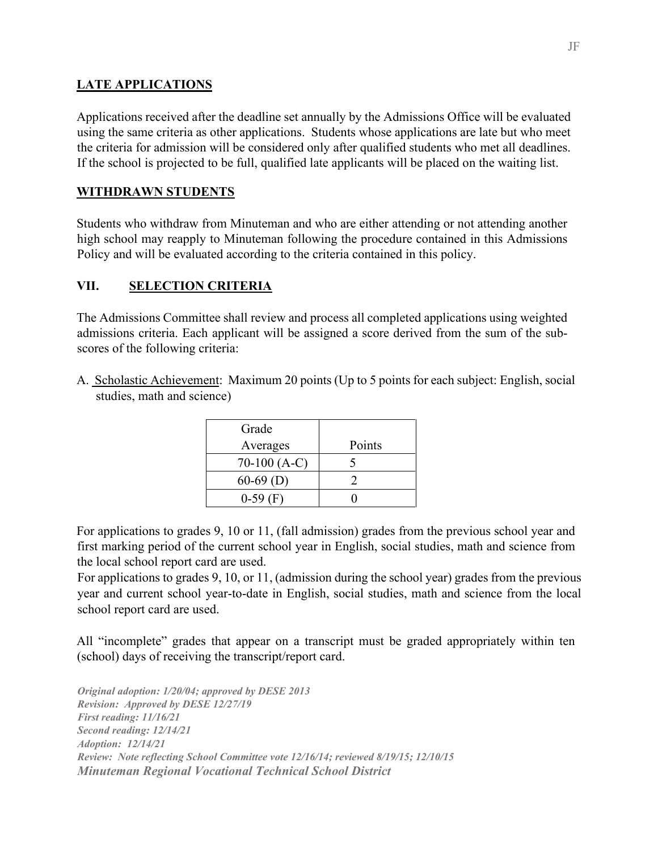#### **LATE APPLICATIONS**

Applications received after the deadline set annually by the Admissions Office will be evaluated using the same criteria as other applications. Students whose applications are late but who meet the criteria for admission will be considered only after qualified students who met all deadlines. If the school is projected to be full, qualified late applicants will be placed on the waiting list.

#### **WITHDRAWN STUDENTS**

Students who withdraw from Minuteman and who are either attending or not attending another high school may reapply to Minuteman following the procedure contained in this Admissions Policy and will be evaluated according to the criteria contained in this policy.

### **VII. SELECTION CRITERIA**

The Admissions Committee shall review and process all completed applications using weighted admissions criteria. Each applicant will be assigned a score derived from the sum of the subscores of the following criteria:

A. Scholastic Achievement: Maximum 20 points (Up to 5 points for each subject: English, social studies, math and science)

| Grade         |        |
|---------------|--------|
| Averages      | Points |
| $70-100(A-C)$ |        |
| $60-69$ (D)   |        |
| $0-59$ (F)    |        |

For applications to grades 9, 10 or 11, (fall admission) grades from the previous school year and first marking period of the current school year in English, social studies, math and science from the local school report card are used.

For applications to grades 9, 10, or 11, (admission during the school year) grades from the previous year and current school year-to-date in English, social studies, math and science from the local school report card are used.

All "incomplete" grades that appear on a transcript must be graded appropriately within ten (school) days of receiving the transcript/report card.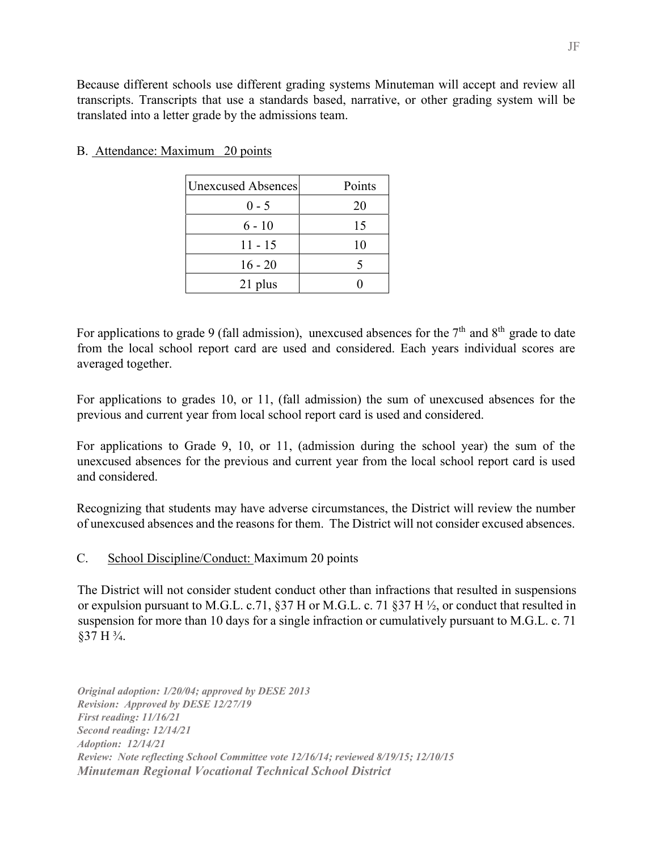| <b>Unexcused Absences</b> | Points |
|---------------------------|--------|
| $0 - 5$                   | 20     |
| $6 - 10$                  | 15     |
| $11 - 15$                 | 10     |
| $16 - 20$                 |        |
| 21 plus                   |        |

### B. Attendance: Maximum 20 points

For applications to grade 9 (fall admission), unexcused absences for the  $7<sup>th</sup>$  and  $8<sup>th</sup>$  grade to date from the local school report card are used and considered. Each years individual scores are averaged together.

For applications to grades 10, or 11, (fall admission) the sum of unexcused absences for the previous and current year from local school report card is used and considered.

For applications to Grade 9, 10, or 11, (admission during the school year) the sum of the unexcused absences for the previous and current year from the local school report card is used and considered.

Recognizing that students may have adverse circumstances, the District will review the number of unexcused absences and the reasons for them. The District will not consider excused absences.

### C. School Discipline/Conduct: Maximum 20 points

The District will not consider student conduct other than infractions that resulted in suspensions or expulsion pursuant to M.G.L. c.71, §37 H or M.G.L. c. 71 §37 H ½, or conduct that resulted in suspension for more than 10 days for a single infraction or cumulatively pursuant to M.G.L. c. 71 §37 H ¾.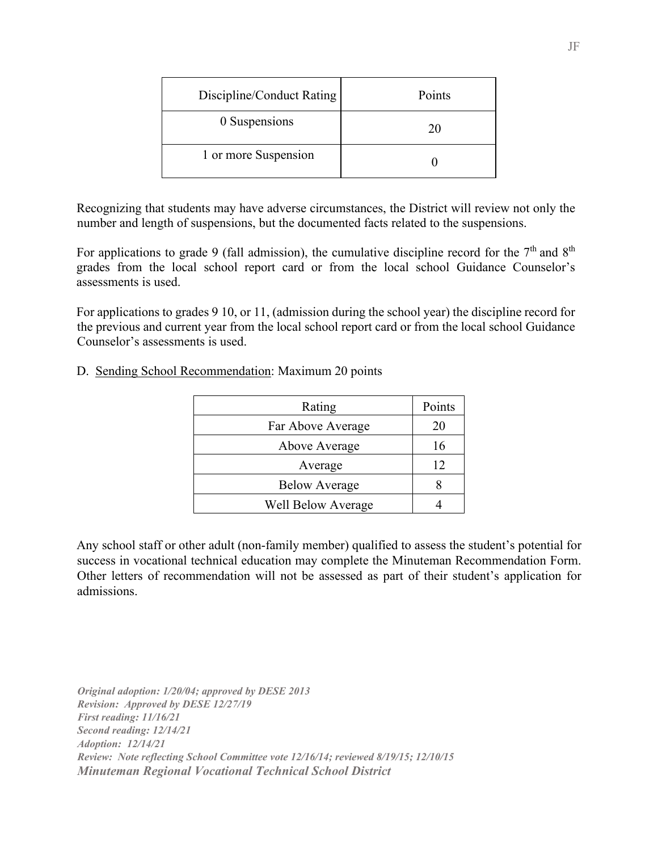| Discipline/Conduct Rating | Points |
|---------------------------|--------|
| 0 Suspensions             | 20     |
| 1 or more Suspension      |        |

Recognizing that students may have adverse circumstances, the District will review not only the number and length of suspensions, but the documented facts related to the suspensions.

For applications to grade 9 (fall admission), the cumulative discipline record for the  $7<sup>th</sup>$  and  $8<sup>th</sup>$ grades from the local school report card or from the local school Guidance Counselor's assessments is used.

For applications to grades 9 10, or 11, (admission during the school year) the discipline record for the previous and current year from the local school report card or from the local school Guidance Counselor's assessments is used.

| Rating                    | Points |
|---------------------------|--------|
| Far Above Average         | 20     |
| Above Average             | 16     |
| Average                   | 12     |
| <b>Below Average</b>      |        |
| <b>Well Below Average</b> |        |

#### D. Sending School Recommendation: Maximum 20 points

Any school staff or other adult (non-family member) qualified to assess the student's potential for success in vocational technical education may complete the Minuteman Recommendation Form. Other letters of recommendation will not be assessed as part of their student's application for admissions.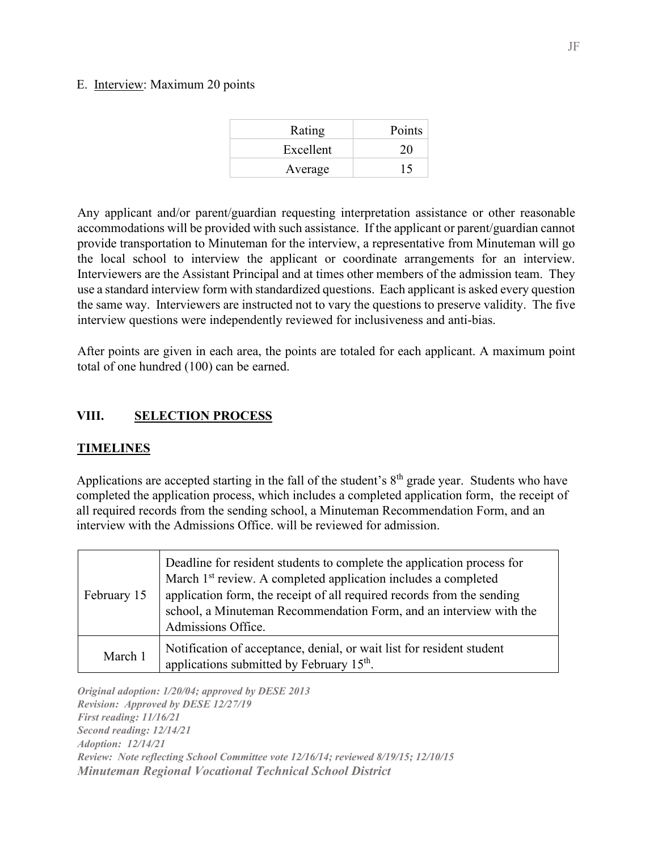#### E. Interview: Maximum 20 points

| Rating    | Points |
|-----------|--------|
| Excellent | 20     |
| Average   | 15     |

Any applicant and/or parent/guardian requesting interpretation assistance or other reasonable accommodations will be provided with such assistance. If the applicant or parent/guardian cannot provide transportation to Minuteman for the interview, a representative from Minuteman will go the local school to interview the applicant or coordinate arrangements for an interview. Interviewers are the Assistant Principal and at times other members of the admission team. They use a standard interview form with standardized questions. Each applicant is asked every question the same way. Interviewers are instructed not to vary the questions to preserve validity. The five interview questions were independently reviewed for inclusiveness and anti-bias.

After points are given in each area, the points are totaled for each applicant. A maximum point total of one hundred (100) can be earned.

### **VIII. SELECTION PROCESS**

#### **TIMELINES**

Applications are accepted starting in the fall of the student's  $8<sup>th</sup>$  grade year. Students who have completed the application process, which includes a completed application form, the receipt of all required records from the sending school, a Minuteman Recommendation Form, and an interview with the Admissions Office. will be reviewed for admission.

| February 15 | Deadline for resident students to complete the application process for<br>March 1 <sup>st</sup> review. A completed application includes a completed<br>application form, the receipt of all required records from the sending<br>school, a Minuteman Recommendation Form, and an interview with the<br>Admissions Office. |
|-------------|----------------------------------------------------------------------------------------------------------------------------------------------------------------------------------------------------------------------------------------------------------------------------------------------------------------------------|
| March 1     | Notification of acceptance, denial, or wait list for resident student<br>applications submitted by February 15 <sup>th</sup> .                                                                                                                                                                                             |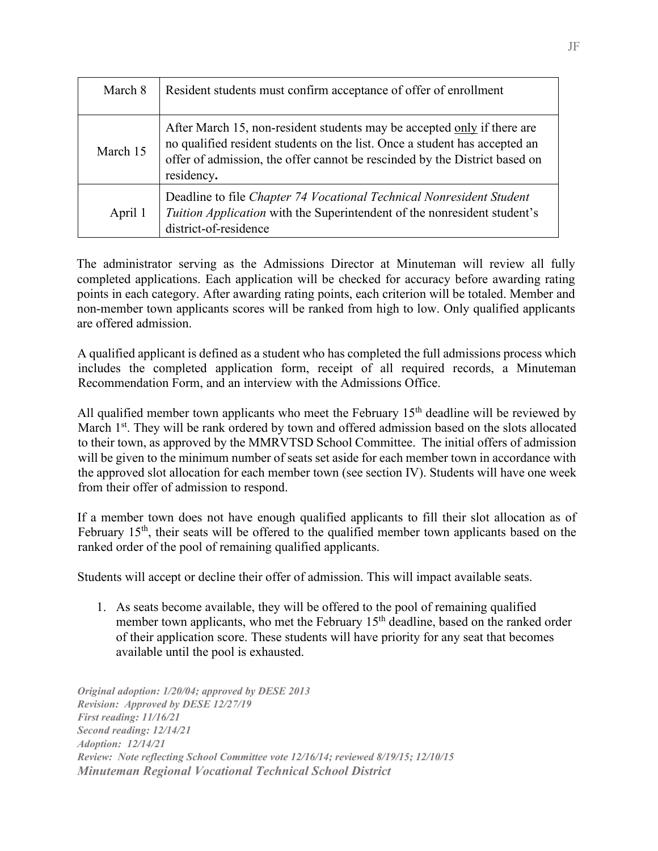| March 8  | Resident students must confirm acceptance of offer of enrollment                                                                                                                                                                                  |
|----------|---------------------------------------------------------------------------------------------------------------------------------------------------------------------------------------------------------------------------------------------------|
| March 15 | After March 15, non-resident students may be accepted only if there are<br>no qualified resident students on the list. Once a student has accepted an<br>offer of admission, the offer cannot be rescinded by the District based on<br>residency. |
| April 1  | Deadline to file Chapter 74 Vocational Technical Nonresident Student<br>Tuition Application with the Superintendent of the nonresident student's<br>district-of-residence                                                                         |

The administrator serving as the Admissions Director at Minuteman will review all fully completed applications. Each application will be checked for accuracy before awarding rating points in each category. After awarding rating points, each criterion will be totaled. Member and non-member town applicants scores will be ranked from high to low. Only qualified applicants are offered admission.

A qualified applicant is defined as a student who has completed the full admissions process which includes the completed application form, receipt of all required records, a Minuteman Recommendation Form, and an interview with the Admissions Office.

All qualified member town applicants who meet the February  $15<sup>th</sup>$  deadline will be reviewed by March 1<sup>st</sup>. They will be rank ordered by town and offered admission based on the slots allocated to their town, as approved by the MMRVTSD School Committee. The initial offers of admission will be given to the minimum number of seats set aside for each member town in accordance with the approved slot allocation for each member town (see section IV). Students will have one week from their offer of admission to respond.

If a member town does not have enough qualified applicants to fill their slot allocation as of February 15<sup>th</sup>, their seats will be offered to the qualified member town applicants based on the ranked order of the pool of remaining qualified applicants.

Students will accept or decline their offer of admission. This will impact available seats.

1. As seats become available, they will be offered to the pool of remaining qualified member town applicants, who met the February 15<sup>th</sup> deadline, based on the ranked order of their application score. These students will have priority for any seat that becomes available until the pool is exhausted.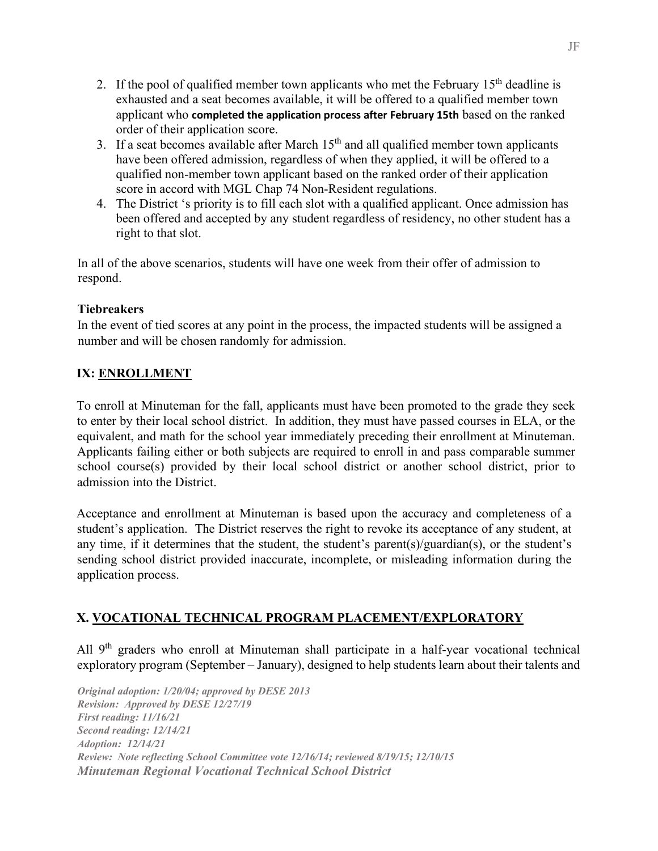- 2. If the pool of qualified member town applicants who met the February  $15<sup>th</sup>$  deadline is exhausted and a seat becomes available, it will be offered to a qualified member town applicant who **completed the application process after February 15th** based on the ranked order of their application score.
- 3. If a seat becomes available after March  $15<sup>th</sup>$  and all qualified member town applicants have been offered admission, regardless of when they applied, it will be offered to a qualified non-member town applicant based on the ranked order of their application score in accord with MGL Chap 74 Non-Resident regulations.
- 4. The District 's priority is to fill each slot with a qualified applicant. Once admission has been offered and accepted by any student regardless of residency, no other student has a right to that slot.

In all of the above scenarios, students will have one week from their offer of admission to respond.

### **Tiebreakers**

In the event of tied scores at any point in the process, the impacted students will be assigned a number and will be chosen randomly for admission.

## **IX: ENROLLMENT**

To enroll at Minuteman for the fall, applicants must have been promoted to the grade they seek to enter by their local school district. In addition, they must have passed courses in ELA, or the equivalent, and math for the school year immediately preceding their enrollment at Minuteman. Applicants failing either or both subjects are required to enroll in and pass comparable summer school course(s) provided by their local school district or another school district, prior to admission into the District.

Acceptance and enrollment at Minuteman is based upon the accuracy and completeness of a student's application. The District reserves the right to revoke its acceptance of any student, at any time, if it determines that the student, the student's parent(s)/guardian(s), or the student's sending school district provided inaccurate, incomplete, or misleading information during the application process.

## **X. VOCATIONAL TECHNICAL PROGRAM PLACEMENT/EXPLORATORY**

All 9<sup>th</sup> graders who enroll at Minuteman shall participate in a half-year vocational technical exploratory program (September – January), designed to help students learn about their talents and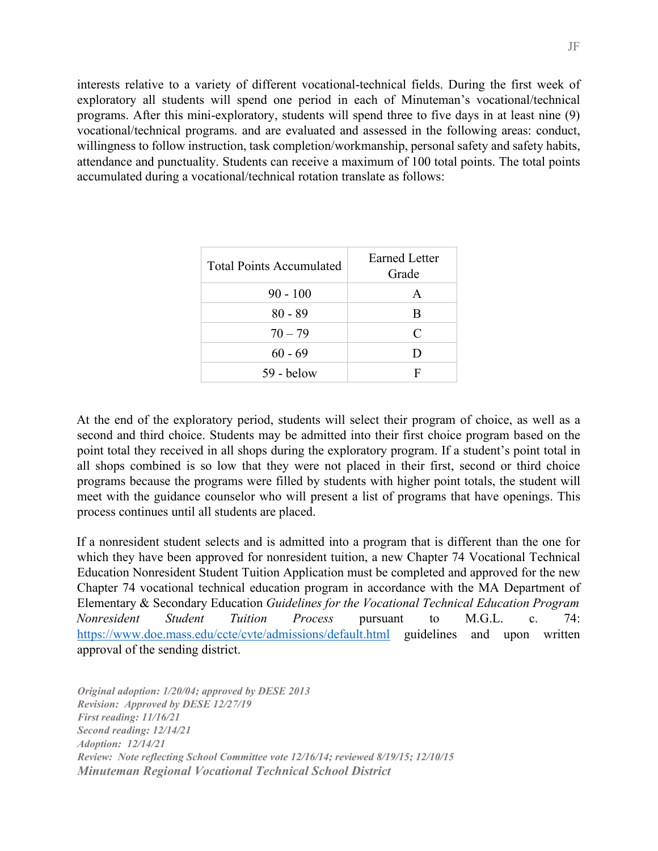interests relative to a variety of different vocational-technical fields. During the first week of exploratory all students will spend one period in each of Minuteman's vocational/technical programs. After this mini-exploratory, students will spend three to five days in at least nine (9) vocational/technical programs. and are evaluated and assessed in the following areas: conduct, willingness to follow instruction, task completion/workmanship, personal safety and safety habits, attendance and punctuality. Students can receive a maximum of 100 total points. The total points accumulated during a vocational/technical rotation translate as follows:

| <b>Total Points Accumulated</b> | <b>Earned Letter</b><br>Grade |
|---------------------------------|-------------------------------|
| $90 - 100$                      |                               |
| $80 - 89$                       | R                             |
| $70 - 79$                       | $\mathcal{C}_{\mathcal{C}}$   |
| $60 - 69$                       | Ð                             |
| $59 -$ below                    |                               |

At the end of the exploratory period, students will select their program of choice, as well as a second and third choice. Students may be admitted into their first choice program based on the point total they received in all shops during the exploratory program. If a student's point total in all shops combined is so low that they were not placed in their first, second or third choice programs because the programs were filled by students with higher point totals, the student will meet with the guidance counselor who will present a list of programs that have openings. This process continues until all students are placed.

If a nonresident student selects and is admitted into a program that is different than the one for which they have been approved for nonresident tuition, a new Chapter 74 Vocational Technical Education Nonresident Student Tuition Application must be completed and approved for the new Chapter 74 vocational technical education program in accordance with the MA Department of Elementary & Secondary Education *Guidelines for the Vocational Technical Education Program Nonresident Student Tuition Process* pursuant to M.G.L. c. 74: <https://www.doe.mass.edu/ccte/cvte/admissions/default.html> guidelines and upon written approval of the sending district.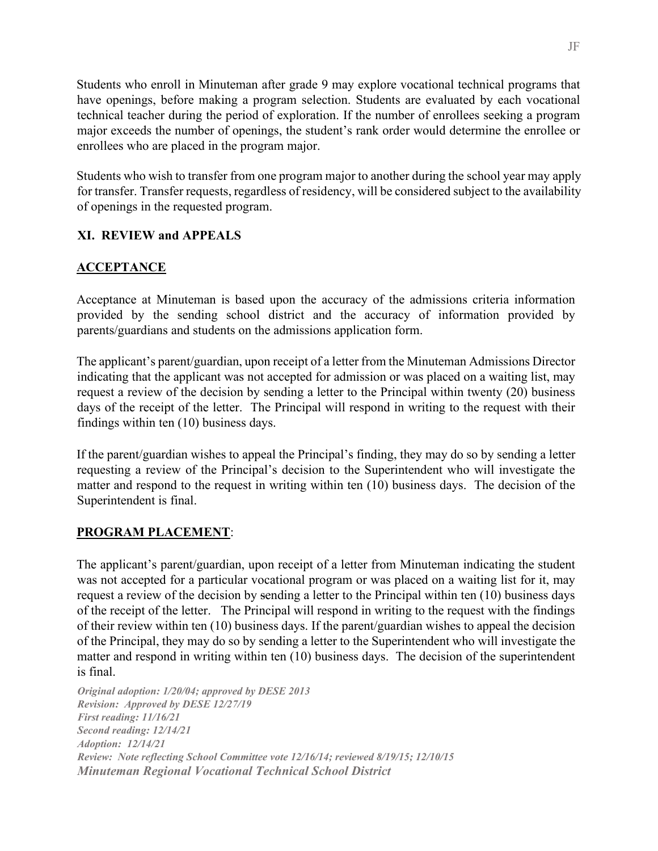Students who enroll in Minuteman after grade 9 may explore vocational technical programs that have openings, before making a program selection. Students are evaluated by each vocational technical teacher during the period of exploration. If the number of enrollees seeking a program major exceeds the number of openings, the student's rank order would determine the enrollee or enrollees who are placed in the program major.

Students who wish to transfer from one program major to another during the school year may apply for transfer. Transfer requests, regardless of residency, will be considered subject to the availability of openings in the requested program.

### **XI. REVIEW and APPEALS**

## **ACCEPTANCE**

Acceptance at Minuteman is based upon the accuracy of the admissions criteria information provided by the sending school district and the accuracy of information provided by parents/guardians and students on the admissions application form.

The applicant's parent/guardian, upon receipt of a letter from the Minuteman Admissions Director indicating that the applicant was not accepted for admission or was placed on a waiting list, may request a review of the decision by sending a letter to the Principal within twenty (20) business days of the receipt of the letter. The Principal will respond in writing to the request with their findings within ten (10) business days.

If the parent/guardian wishes to appeal the Principal's finding, they may do so by sending a letter requesting a review of the Principal's decision to the Superintendent who will investigate the matter and respond to the request in writing within ten (10) business days. The decision of the Superintendent is final.

### **PROGRAM PLACEMENT**:

The applicant's parent/guardian, upon receipt of a letter from Minuteman indicating the student was not accepted for a particular vocational program or was placed on a waiting list for it, may request a review of the decision by sending a letter to the Principal within ten (10) business days of the receipt of the letter. The Principal will respond in writing to the request with the findings of their review within ten (10) business days. If the parent/guardian wishes to appeal the decision of the Principal, they may do so by sending a letter to the Superintendent who will investigate the matter and respond in writing within ten (10) business days. The decision of the superintendent is final.